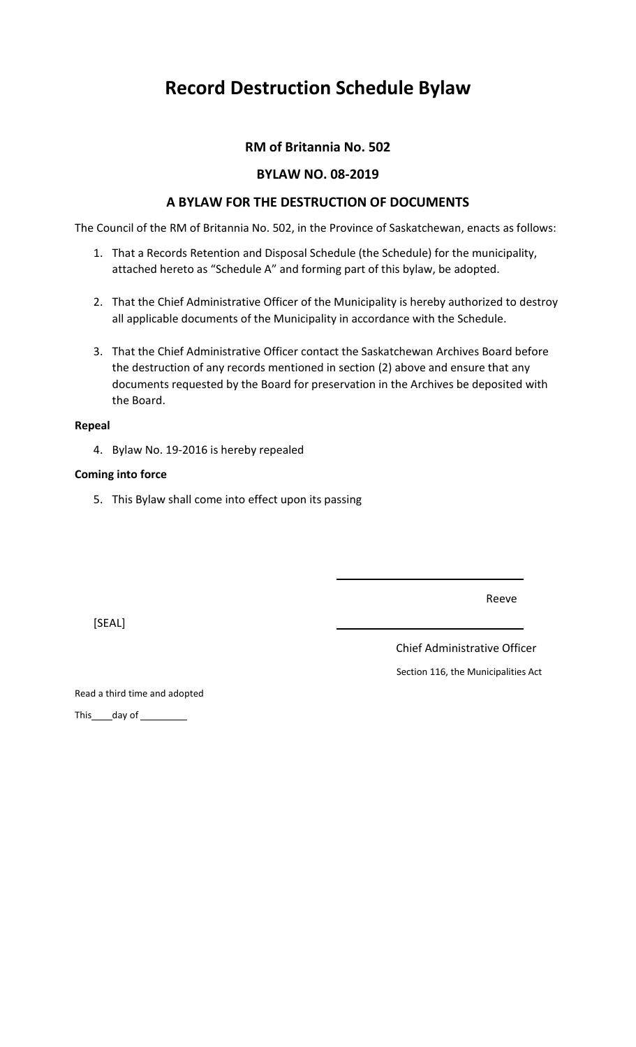## **Record Destruction Schedule Bylaw**

## **RM of Britannia No. 502**

## **BYLAW NO. 08-2019**

## **A BYLAW FOR THE DESTRUCTION OF DOCUMENTS**

The Council of the RM of Britannia No. 502, in the Province of Saskatchewan, enacts as follows:

- 1. That a Records Retention and Disposal Schedule (the Schedule) for the municipality, attached hereto as "Schedule A" and forming part of this bylaw, be adopted.
- 2. That the Chief Administrative Officer of the Municipality is hereby authorized to destroy all applicable documents of the Municipality in accordance with the Schedule.
- 3. That the Chief Administrative Officer contact the Saskatchewan Archives Board before the destruction of any records mentioned in section (2) above and ensure that any documents requested by the Board for preservation in the Archives be deposited with the Board.

### **Repeal**

4. Bylaw No. 19-2016 is hereby repealed

### **Coming into force**

5. This Bylaw shall come into effect upon its passing

Reeve

[SEAL]

Chief Administrative Officer

Section 116, the Municipalities Act

Read a third time and adopted

This\_\_\_\_\_day of \_\_\_\_\_\_\_\_\_\_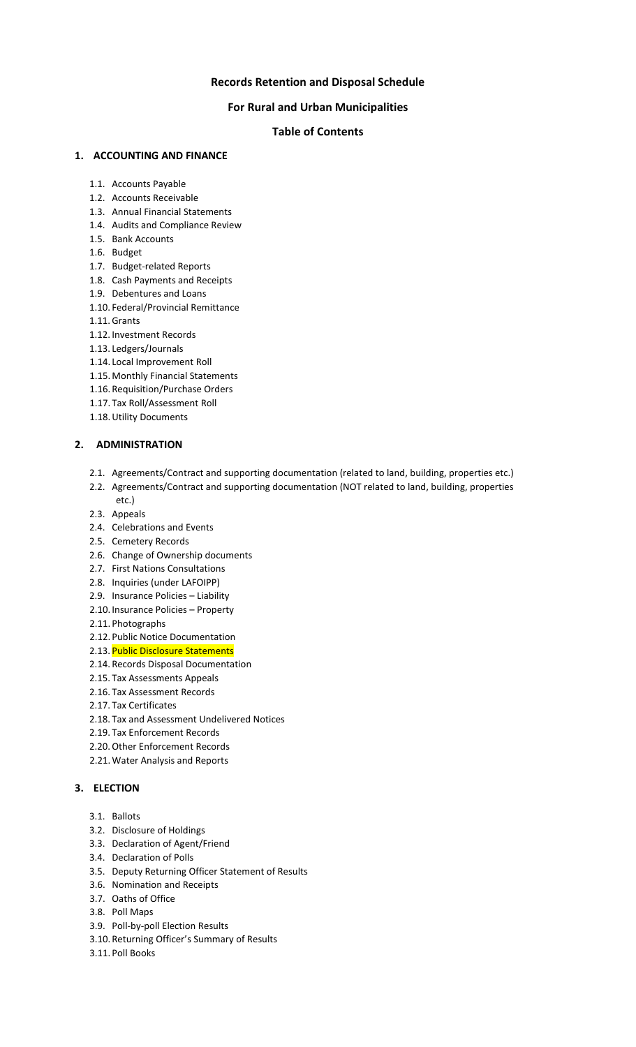#### **Records Retention and Disposal Schedule**

#### **For Rural and Urban Municipalities**

#### **Table of Contents**

#### **1. ACCOUNTING AND FINANCE**

- 1.1. Accounts Payable
- 1.2. Accounts Receivable
- 1.3. Annual Financial Statements
- 1.4. Audits and Compliance Review
- 1.5. Bank Accounts
- 1.6. Budget
- 1.7. Budget-related Reports
- 1.8. Cash Payments and Receipts
- 1.9. Debentures and Loans
- 1.10. Federal/Provincial Remittance
- 1.11.Grants
- 1.12. Investment Records
- 1.13. Ledgers/Journals
- 1.14. Local Improvement Roll
- 1.15. Monthly Financial Statements
- 1.16. Requisition/Purchase Orders
- 1.17. Tax Roll/Assessment Roll
- 1.18.Utility Documents

#### **2. ADMINISTRATION**

- 2.1. Agreements/Contract and supporting documentation (related to land, building, properties etc.)
- 2.2. Agreements/Contract and supporting documentation (NOT related to land, building, properties etc.)
- 2.3. Appeals
- 2.4. Celebrations and Events
- 2.5. Cemetery Records
- 2.6. Change of Ownership documents
- 2.7. First Nations Consultations
- 2.8. Inquiries (under LAFOIPP)
- 2.9. Insurance Policies Liability
- 2.10. Insurance Policies Property
- 2.11. Photographs
- 2.12. Public Notice Documentation
- 2.13. Public Disclosure Statements
- 2.14. Records Disposal Documentation
- 2.15. Tax Assessments Appeals
- 2.16. Tax Assessment Records
- 2.17. Tax Certificates
- 2.18. Tax and Assessment Undelivered Notices
- 2.19. Tax Enforcement Records
- 2.20.Other Enforcement Records
- 2.21.Water Analysis and Reports

#### **3. ELECTION**

- 3.1. Ballots
- 3.2. Disclosure of Holdings
- 3.3. Declaration of Agent/Friend
- 3.4. Declaration of Polls
- 3.5. Deputy Returning Officer Statement of Results
- 3.6. Nomination and Receipts
- 3.7. Oaths of Office
- 3.8. Poll Maps
- 3.9. Poll-by-poll Election Results
- 3.10. Returning Officer's Summary of Results
- 3.11. Poll Books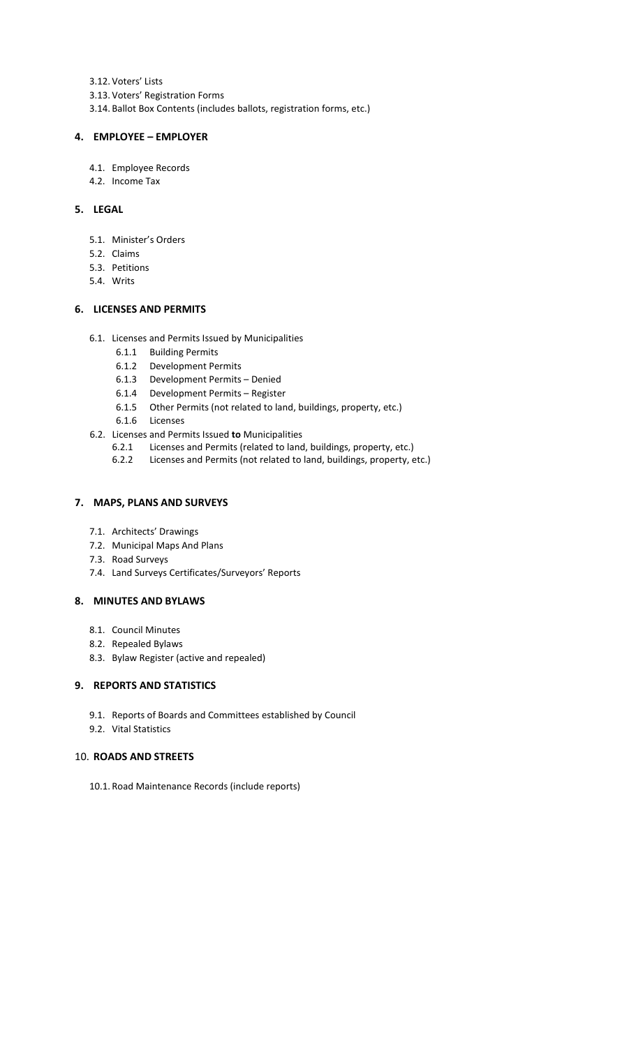3.12. Voters' Lists

- 3.13. Voters' Registration Forms
- 3.14. Ballot Box Contents (includes ballots, registration forms, etc.)

## **4. EMPLOYEE – EMPLOYER**

- 4.1. Employee Records
- 4.2. Income Tax

#### **5. LEGAL**

- 5.1. Minister's Orders
- 5.2. Claims
- 5.3. Petitions
- 5.4. Writs

#### **6. LICENSES AND PERMITS**

- 6.1. Licenses and Permits Issued by Municipalities
	- 6.1.1 Building Permits
	- 6.1.2 Development Permits
	- 6.1.3 Development Permits Denied
	- 6.1.4 Development Permits Register
	- 6.1.5 Other Permits (not related to land, buildings, property, etc.)
	- 6.1.6 Licenses
- 6.2. Licenses and Permits Issued **to** Municipalities
	- 6.2.1 Licenses and Permits (related to land, buildings, property, etc.)
	- 6.2.2 Licenses and Permits (not related to land, buildings, property, etc.)

#### **7. MAPS, PLANS AND SURVEYS**

- 7.1. Architects' Drawings
- 7.2. Municipal Maps And Plans
- 7.3. Road Surveys
- 7.4. Land Surveys Certificates/Surveyors' Reports

#### **8. MINUTES AND BYLAWS**

- 8.1. Council Minutes
- 8.2. Repealed Bylaws
- 8.3. Bylaw Register (active and repealed)

#### **9. REPORTS AND STATISTICS**

- 9.1. Reports of Boards and Committees established by Council
- 9.2. Vital Statistics

#### 10. **ROADS AND STREETS**

10.1. Road Maintenance Records (include reports)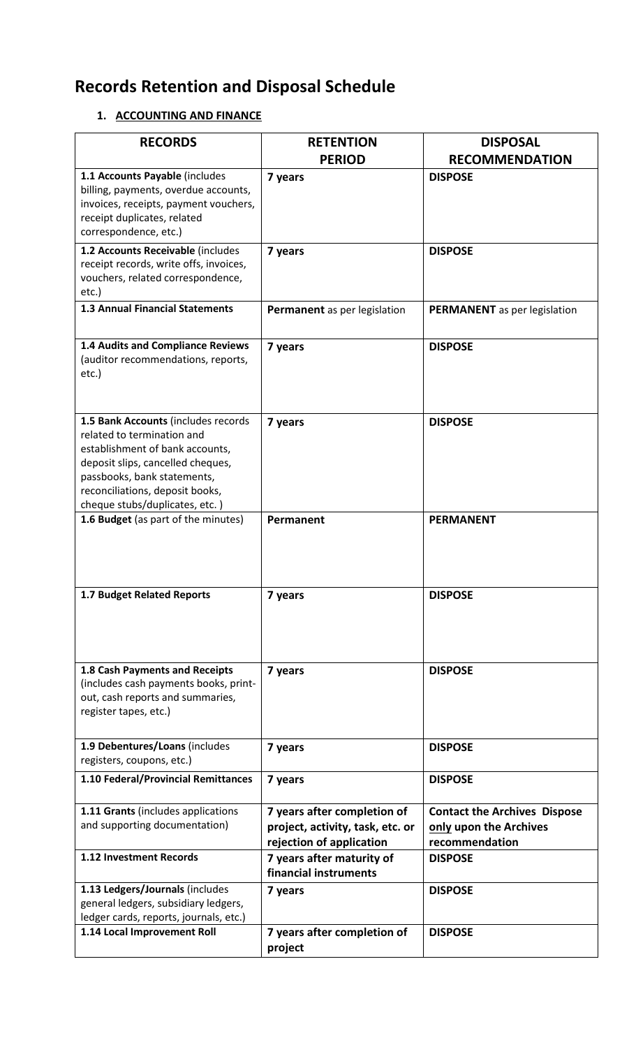# **Records Retention and Disposal Schedule**

## **1. ACCOUNTING AND FINANCE**

| <b>RECORDS</b>                                                                                                                                                                                                                                | <b>RETENTION</b><br><b>PERIOD</b>                                                           | <b>DISPOSAL</b><br><b>RECOMMENDATION</b>                                        |
|-----------------------------------------------------------------------------------------------------------------------------------------------------------------------------------------------------------------------------------------------|---------------------------------------------------------------------------------------------|---------------------------------------------------------------------------------|
| 1.1 Accounts Payable (includes<br>billing, payments, overdue accounts,<br>invoices, receipts, payment vouchers,<br>receipt duplicates, related<br>correspondence, etc.)                                                                       | 7 years                                                                                     | <b>DISPOSE</b>                                                                  |
| 1.2 Accounts Receivable (includes<br>receipt records, write offs, invoices,<br>vouchers, related correspondence,<br>etc.)                                                                                                                     | 7 years                                                                                     | <b>DISPOSE</b>                                                                  |
| 1.3 Annual Financial Statements                                                                                                                                                                                                               | Permanent as per legislation                                                                | <b>PERMANENT</b> as per legislation                                             |
| <b>1.4 Audits and Compliance Reviews</b><br>(auditor recommendations, reports,<br>etc.)                                                                                                                                                       | 7 years                                                                                     | <b>DISPOSE</b>                                                                  |
| 1.5 Bank Accounts (includes records<br>related to termination and<br>establishment of bank accounts,<br>deposit slips, cancelled cheques,<br>passbooks, bank statements,<br>reconciliations, deposit books,<br>cheque stubs/duplicates, etc.) | 7 years                                                                                     | <b>DISPOSE</b>                                                                  |
| 1.6 Budget (as part of the minutes)                                                                                                                                                                                                           | Permanent                                                                                   | <b>PERMANENT</b>                                                                |
| 1.7 Budget Related Reports                                                                                                                                                                                                                    | 7 years                                                                                     | <b>DISPOSE</b>                                                                  |
| 1.8 Cash Payments and Receipts<br>(includes cash payments books, print-<br>out, cash reports and summaries,<br>register tapes, etc.)                                                                                                          | 7 years                                                                                     | <b>DISPOSE</b>                                                                  |
| 1.9 Debentures/Loans (includes<br>registers, coupons, etc.)                                                                                                                                                                                   | 7 years                                                                                     | <b>DISPOSE</b>                                                                  |
| 1.10 Federal/Provincial Remittances                                                                                                                                                                                                           | 7 years                                                                                     | <b>DISPOSE</b>                                                                  |
| 1.11 Grants (includes applications<br>and supporting documentation)                                                                                                                                                                           | 7 years after completion of<br>project, activity, task, etc. or<br>rejection of application | <b>Contact the Archives Dispose</b><br>only upon the Archives<br>recommendation |
| 1.12 Investment Records                                                                                                                                                                                                                       | 7 years after maturity of<br>financial instruments                                          | <b>DISPOSE</b>                                                                  |
| 1.13 Ledgers/Journals (includes<br>general ledgers, subsidiary ledgers,<br>ledger cards, reports, journals, etc.)                                                                                                                             | 7 years                                                                                     | <b>DISPOSE</b>                                                                  |
| 1.14 Local Improvement Roll                                                                                                                                                                                                                   | 7 years after completion of<br>project                                                      | <b>DISPOSE</b>                                                                  |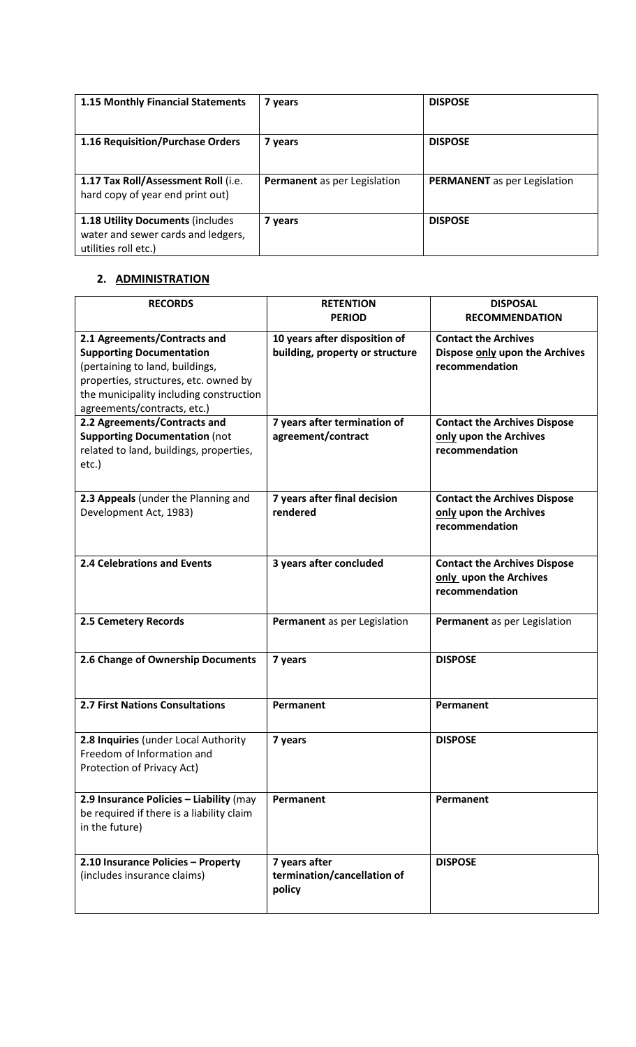| 1.15 Monthly Financial Statements                                                              | 7 years                             | <b>DISPOSE</b>                      |
|------------------------------------------------------------------------------------------------|-------------------------------------|-------------------------------------|
| 1.16 Requisition/Purchase Orders                                                               | 7 years                             | <b>DISPOSE</b>                      |
| 1.17 Tax Roll/Assessment Roll (i.e.<br>hard copy of year end print out)                        | <b>Permanent</b> as per Legislation | <b>PERMANENT</b> as per Legislation |
| 1.18 Utility Documents (includes<br>water and sewer cards and ledgers,<br>utilities roll etc.) | 7 years                             | <b>DISPOSE</b>                      |

## **2. ADMINISTRATION**

| <b>RECORDS</b>                                                                                                                                                                                                        | <b>RETENTION</b><br><b>PERIOD</b>                                | <b>DISPOSAL</b><br><b>RECOMMENDATION</b>                                        |
|-----------------------------------------------------------------------------------------------------------------------------------------------------------------------------------------------------------------------|------------------------------------------------------------------|---------------------------------------------------------------------------------|
| 2.1 Agreements/Contracts and<br><b>Supporting Documentation</b><br>(pertaining to land, buildings,<br>properties, structures, etc. owned by<br>the municipality including construction<br>agreements/contracts, etc.) | 10 years after disposition of<br>building, property or structure | <b>Contact the Archives</b><br>Dispose only upon the Archives<br>recommendation |
| 2.2 Agreements/Contracts and<br><b>Supporting Documentation (not</b><br>related to land, buildings, properties,<br>etc.)                                                                                              | 7 years after termination of<br>agreement/contract               | <b>Contact the Archives Dispose</b><br>only upon the Archives<br>recommendation |
| 2.3 Appeals (under the Planning and<br>Development Act, 1983)                                                                                                                                                         | 7 years after final decision<br>rendered                         | <b>Contact the Archives Dispose</b><br>only upon the Archives<br>recommendation |
| 2.4 Celebrations and Events                                                                                                                                                                                           | 3 years after concluded                                          | <b>Contact the Archives Dispose</b><br>only upon the Archives<br>recommendation |
| 2.5 Cemetery Records                                                                                                                                                                                                  | Permanent as per Legislation                                     | Permanent as per Legislation                                                    |
| 2.6 Change of Ownership Documents                                                                                                                                                                                     | 7 years                                                          | <b>DISPOSE</b>                                                                  |
| 2.7 First Nations Consultations                                                                                                                                                                                       | Permanent                                                        | Permanent                                                                       |
| 2.8 Inquiries (under Local Authority<br>Freedom of Information and<br>Protection of Privacy Act)                                                                                                                      | 7 years                                                          | <b>DISPOSE</b>                                                                  |
| 2.9 Insurance Policies - Liability (may<br>be required if there is a liability claim<br>in the future)                                                                                                                | Permanent                                                        | Permanent                                                                       |
| 2.10 Insurance Policies - Property<br>(includes insurance claims)                                                                                                                                                     | 7 years after<br>termination/cancellation of<br>policy           | <b>DISPOSE</b>                                                                  |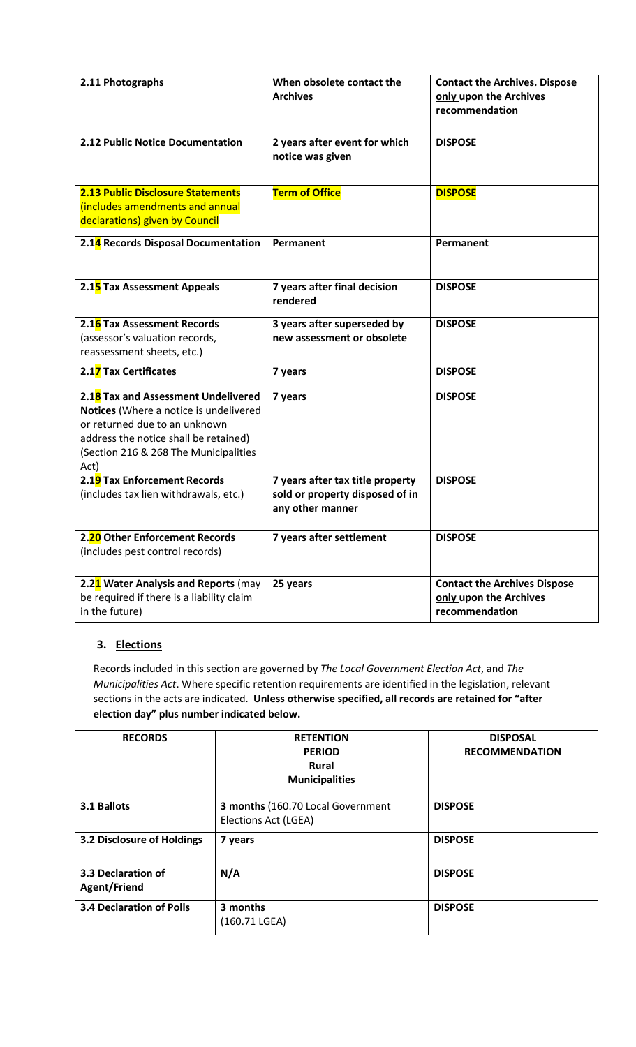| 2.11 Photographs                                                                                                                                                                                         | When obsolete contact the<br><b>Archives</b>                                            | <b>Contact the Archives. Dispose</b><br>only upon the Archives<br>recommendation |
|----------------------------------------------------------------------------------------------------------------------------------------------------------------------------------------------------------|-----------------------------------------------------------------------------------------|----------------------------------------------------------------------------------|
| 2.12 Public Notice Documentation                                                                                                                                                                         | 2 years after event for which<br>notice was given                                       | <b>DISPOSE</b>                                                                   |
| <b>2.13 Public Disclosure Statements</b><br>(includes amendments and annual<br>declarations) given by Council                                                                                            | <b>Term of Office</b>                                                                   | <b>DISPOSE</b>                                                                   |
| 2.14 Records Disposal Documentation                                                                                                                                                                      | Permanent                                                                               | Permanent                                                                        |
| 2.15 Tax Assessment Appeals                                                                                                                                                                              | 7 years after final decision<br>rendered                                                | <b>DISPOSE</b>                                                                   |
| 2.16 Tax Assessment Records<br>(assessor's valuation records,<br>reassessment sheets, etc.)                                                                                                              | 3 years after superseded by<br>new assessment or obsolete                               | <b>DISPOSE</b>                                                                   |
| 2.17 Tax Certificates                                                                                                                                                                                    | 7 years                                                                                 | <b>DISPOSE</b>                                                                   |
| 2.18 Tax and Assessment Undelivered<br>Notices (Where a notice is undelivered<br>or returned due to an unknown<br>address the notice shall be retained)<br>(Section 216 & 268 The Municipalities<br>Act) | 7 years                                                                                 | <b>DISPOSE</b>                                                                   |
| 2.19 Tax Enforcement Records<br>(includes tax lien withdrawals, etc.)                                                                                                                                    | 7 years after tax title property<br>sold or property disposed of in<br>any other manner | <b>DISPOSE</b>                                                                   |
| 2.20 Other Enforcement Records<br>(includes pest control records)                                                                                                                                        | 7 years after settlement                                                                | <b>DISPOSE</b>                                                                   |
| 2.21 Water Analysis and Reports (may<br>be required if there is a liability claim<br>in the future)                                                                                                      | 25 years                                                                                | <b>Contact the Archives Dispose</b><br>only upon the Archives<br>recommendation  |

## **3. Elections**

Records included in this section are governed by *The Local Government Election Act*, and *The Municipalities Act*. Where specific retention requirements are identified in the legislation, relevant sections in the acts are indicated. **Unless otherwise specified, all records are retained for "after election day" plus number indicated below.** 

| <b>RECORDS</b>                     | <b>RETENTION</b><br><b>PERIOD</b><br>Rural<br><b>Municipalities</b> | <b>DISPOSAL</b><br><b>RECOMMENDATION</b> |
|------------------------------------|---------------------------------------------------------------------|------------------------------------------|
| 3.1 Ballots                        | 3 months (160.70 Local Government<br>Elections Act (LGEA)           | <b>DISPOSE</b>                           |
| 3.2 Disclosure of Holdings         | 7 years                                                             | <b>DISPOSE</b>                           |
| 3.3 Declaration of<br>Agent/Friend | N/A                                                                 | <b>DISPOSE</b>                           |
| <b>3.4 Declaration of Polls</b>    | 3 months<br>(160.71 LGEA)                                           | <b>DISPOSE</b>                           |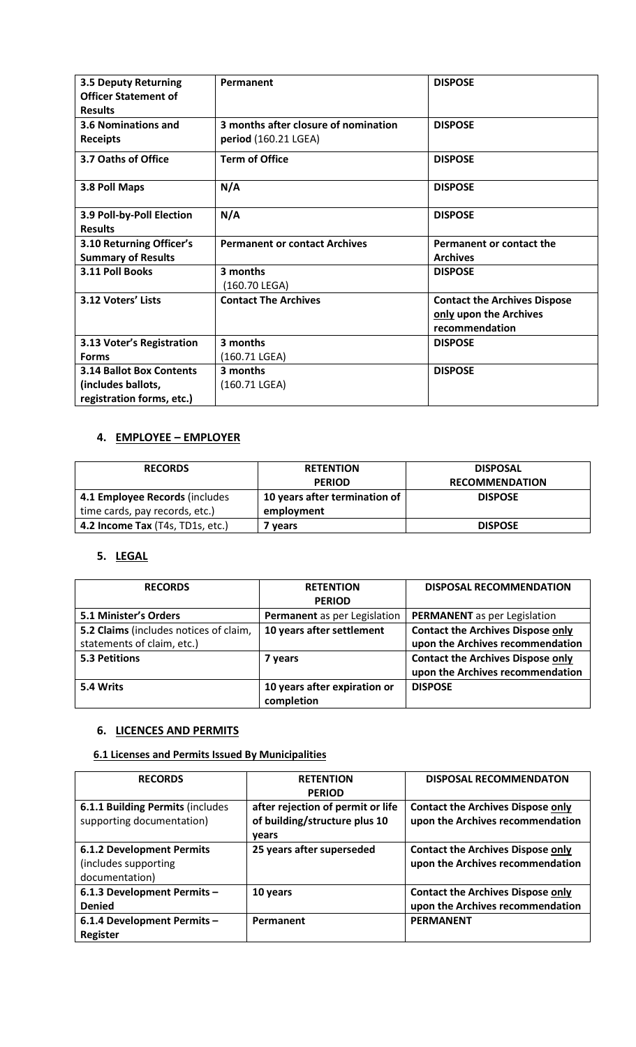| <b>3.5 Deputy Returning</b><br><b>Officer Statement of</b><br><b>Results</b> | Permanent                                                           | <b>DISPOSE</b>                                                                  |
|------------------------------------------------------------------------------|---------------------------------------------------------------------|---------------------------------------------------------------------------------|
| 3.6 Nominations and<br><b>Receipts</b>                                       | 3 months after closure of nomination<br><b>period</b> (160.21 LGEA) | <b>DISPOSE</b>                                                                  |
| 3.7 Oaths of Office                                                          | <b>Term of Office</b>                                               | <b>DISPOSE</b>                                                                  |
| 3.8 Poll Maps                                                                | N/A                                                                 | <b>DISPOSE</b>                                                                  |
| 3.9 Poll-by-Poll Election<br><b>Results</b>                                  | N/A                                                                 | <b>DISPOSE</b>                                                                  |
| 3.10 Returning Officer's<br><b>Summary of Results</b>                        | <b>Permanent or contact Archives</b>                                | Permanent or contact the<br><b>Archives</b>                                     |
| 3.11 Poll Books                                                              | 3 months<br>(160.70 LEGA)                                           | <b>DISPOSE</b>                                                                  |
| 3.12 Voters' Lists                                                           | <b>Contact The Archives</b>                                         | <b>Contact the Archives Dispose</b><br>only upon the Archives<br>recommendation |
| 3.13 Voter's Registration                                                    | 3 months                                                            | <b>DISPOSE</b>                                                                  |
| <b>Forms</b>                                                                 | (160.71 LGEA)                                                       |                                                                                 |
| <b>3.14 Ballot Box Contents</b>                                              | 3 months                                                            | <b>DISPOSE</b>                                                                  |
| (includes ballots,                                                           | (160.71 LGEA)                                                       |                                                                                 |
| registration forms, etc.)                                                    |                                                                     |                                                                                 |

## **4. EMPLOYEE – EMPLOYER**

| <b>RECORDS</b>                   | <b>RETENTION</b>              | <b>DISPOSAL</b>       |
|----------------------------------|-------------------------------|-----------------------|
|                                  | <b>PERIOD</b>                 | <b>RECOMMENDATION</b> |
| 4.1 Employee Records (includes   | 10 years after termination of | <b>DISPOSE</b>        |
| time cards, pay records, etc.)   | employment                    |                       |
| 4.2 Income Tax (T4s, TD1s, etc.) | ' vears                       | <b>DISPOSE</b>        |

## **5. LEGAL**

| <b>RECORDS</b>                         | <b>RETENTION</b>             | <b>DISPOSAL RECOMMENDATION</b>           |
|----------------------------------------|------------------------------|------------------------------------------|
|                                        | <b>PERIOD</b>                |                                          |
| 5.1 Minister's Orders                  | Permanent as per Legislation | <b>PERMANENT</b> as per Legislation      |
| 5.2 Claims (includes notices of claim, | 10 years after settlement    | <b>Contact the Archives Dispose only</b> |
| statements of claim, etc.)             |                              | upon the Archives recommendation         |
| <b>5.3 Petitions</b>                   | 7 years                      | <b>Contact the Archives Dispose only</b> |
|                                        |                              | upon the Archives recommendation         |
| 5.4 Writs                              | 10 years after expiration or | <b>DISPOSE</b>                           |
|                                        | completion                   |                                          |

## **6. LICENCES AND PERMITS**

## **6.1 Licenses and Permits Issued By Municipalities**

| <b>RECORDS</b>                   | <b>RETENTION</b>                  | <b>DISPOSAL RECOMMENDATON</b>            |
|----------------------------------|-----------------------------------|------------------------------------------|
|                                  | <b>PERIOD</b>                     |                                          |
| 6.1.1 Building Permits (includes | after rejection of permit or life | <b>Contact the Archives Dispose only</b> |
| supporting documentation)        | of building/structure plus 10     | upon the Archives recommendation         |
|                                  | vears                             |                                          |
| <b>6.1.2 Development Permits</b> | 25 years after superseded         | <b>Contact the Archives Dispose only</b> |
| (includes supporting             |                                   | upon the Archives recommendation         |
| documentation)                   |                                   |                                          |
| 6.1.3 Development Permits-       | 10 years                          | <b>Contact the Archives Dispose only</b> |
| <b>Denied</b>                    |                                   | upon the Archives recommendation         |
| 6.1.4 Development Permits -      | Permanent                         | <b>PERMANENT</b>                         |
| <b>Register</b>                  |                                   |                                          |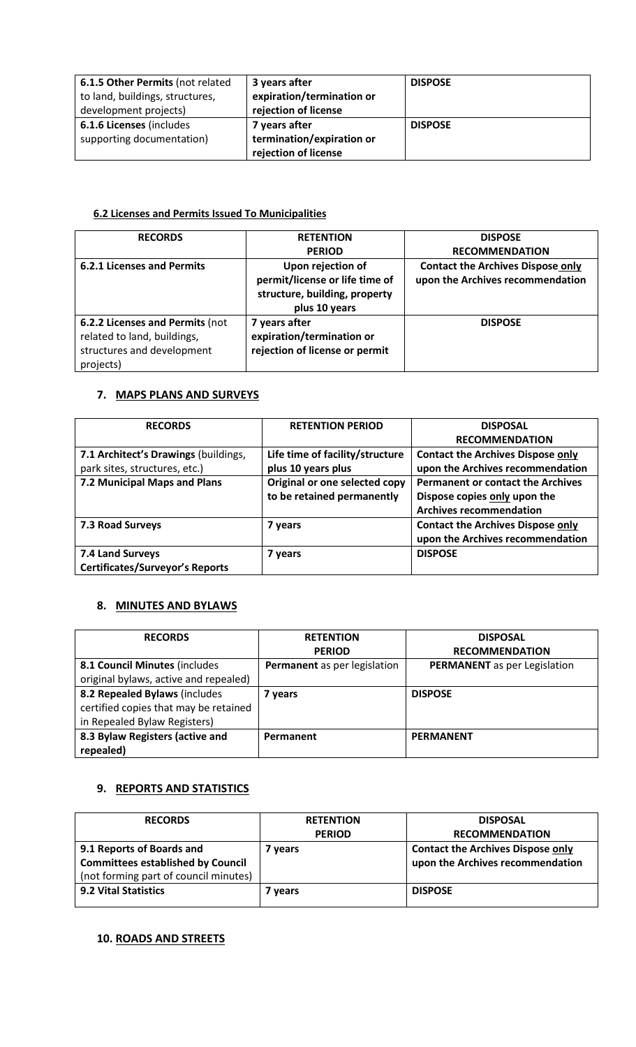| 6.1.5 Other Permits (not related | 3 years after             | <b>DISPOSE</b> |
|----------------------------------|---------------------------|----------------|
| to land, buildings, structures,  | expiration/termination or |                |
| development projects)            | rejection of license      |                |
| 6.1.6 Licenses (includes         | 7 years after             | <b>DISPOSE</b> |
| supporting documentation)        | termination/expiration or |                |
|                                  | rejection of license      |                |

## **6.2 Licenses and Permits Issued To Municipalities**

| <b>RECORDS</b>                    | <b>RETENTION</b>               | <b>DISPOSE</b>                           |
|-----------------------------------|--------------------------------|------------------------------------------|
|                                   | <b>PERIOD</b>                  | <b>RECOMMENDATION</b>                    |
| <b>6.2.1 Licenses and Permits</b> | Upon rejection of              | <b>Contact the Archives Dispose only</b> |
|                                   | permit/license or life time of | upon the Archives recommendation         |
|                                   | structure, building, property  |                                          |
|                                   | plus 10 years                  |                                          |
| 6.2.2 Licenses and Permits (not   | 7 years after                  | <b>DISPOSE</b>                           |
| related to land, buildings,       | expiration/termination or      |                                          |
| structures and development        | rejection of license or permit |                                          |
| projects)                         |                                |                                          |

## **7. MAPS PLANS AND SURVEYS**

| <b>RECORDS</b>                         | <b>RETENTION PERIOD</b>         | <b>DISPOSAL</b>                          |
|----------------------------------------|---------------------------------|------------------------------------------|
|                                        |                                 | <b>RECOMMENDATION</b>                    |
| 7.1 Architect's Drawings (buildings,   | Life time of facility/structure | <b>Contact the Archives Dispose only</b> |
| park sites, structures, etc.)          | plus 10 years plus              | upon the Archives recommendation         |
| 7.2 Municipal Maps and Plans           | Original or one selected copy   | <b>Permanent or contact the Archives</b> |
|                                        | to be retained permanently      | Dispose copies only upon the             |
|                                        |                                 | <b>Archives recommendation</b>           |
| 7.3 Road Surveys                       | 7 years                         | <b>Contact the Archives Dispose only</b> |
|                                        |                                 | upon the Archives recommendation         |
| 7.4 Land Surveys                       | 7 years                         | <b>DISPOSE</b>                           |
| <b>Certificates/Surveyor's Reports</b> |                                 |                                          |

## **8. MINUTES AND BYLAWS**

| <b>RECORDS</b>                        | <b>RETENTION</b>             | <b>DISPOSAL</b>                     |
|---------------------------------------|------------------------------|-------------------------------------|
|                                       | <b>PERIOD</b>                | <b>RECOMMENDATION</b>               |
| 8.1 Council Minutes (includes         | Permanent as per legislation | <b>PERMANENT</b> as per Legislation |
| original bylaws, active and repealed) |                              |                                     |
| 8.2 Repealed Bylaws (includes         | vears                        | <b>DISPOSE</b>                      |
| certified copies that may be retained |                              |                                     |
| in Repealed Bylaw Registers)          |                              |                                     |
| 8.3 Bylaw Registers (active and       | Permanent                    | <b>PERMANENT</b>                    |
| repealed)                             |                              |                                     |

## **9. REPORTS AND STATISTICS**

| <b>RECORDS</b>                           | <b>RETENTION</b> | <b>DISPOSAL</b>                          |
|------------------------------------------|------------------|------------------------------------------|
|                                          | <b>PERIOD</b>    | <b>RECOMMENDATION</b>                    |
| 9.1 Reports of Boards and                | vears            | <b>Contact the Archives Dispose only</b> |
| <b>Committees established by Council</b> |                  | upon the Archives recommendation         |
| (not forming part of council minutes)    |                  |                                          |
| <b>9.2 Vital Statistics</b>              | 7 vears          | <b>DISPOSE</b>                           |
|                                          |                  |                                          |

### **10. ROADS AND STREETS**